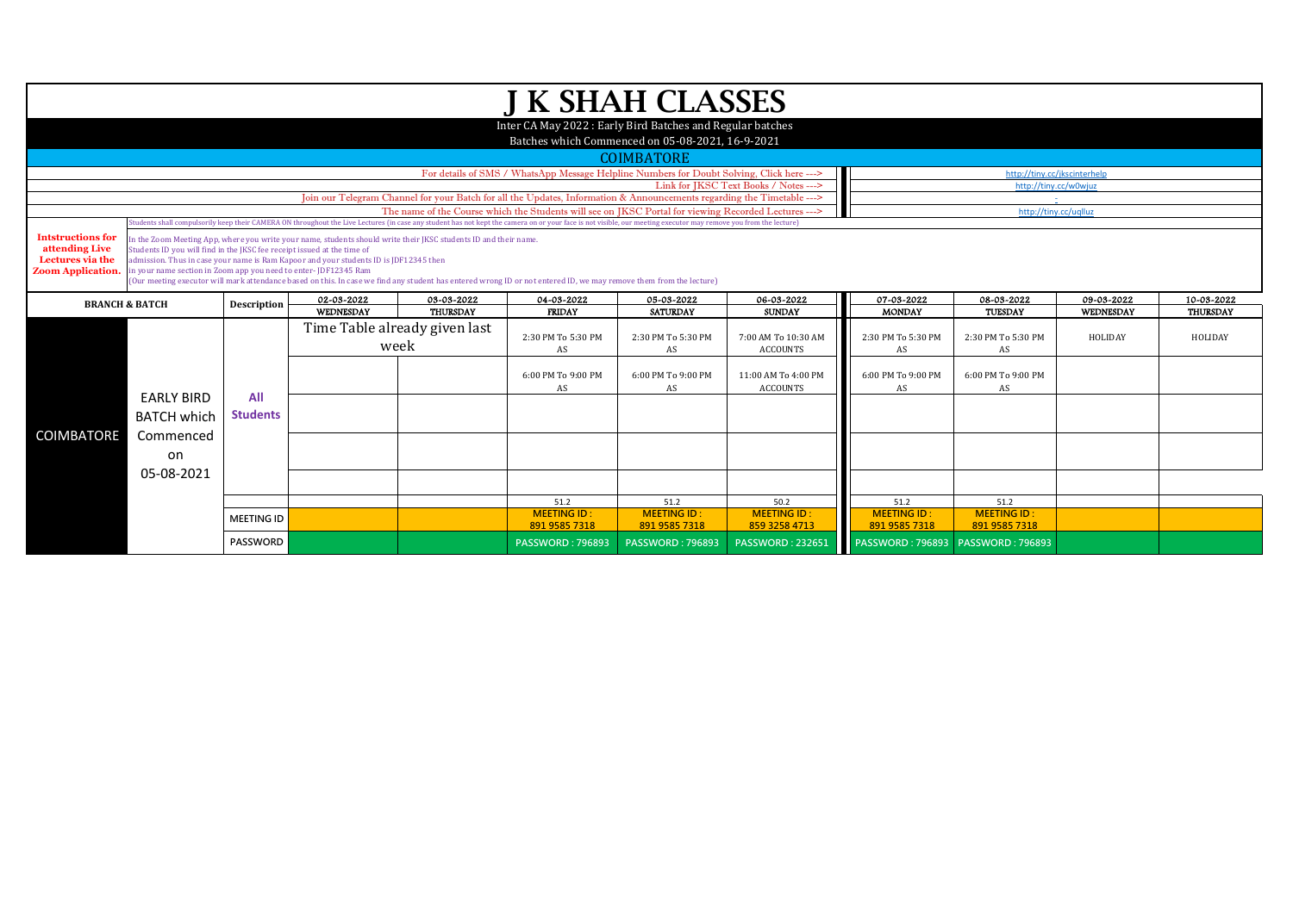|                                                                                                                                                                                                                                                                                                                         |                                                                                                                                                                                                                                                                                                                                                                                                                                                                                                                               |                   |                                       |                               | <b>J K SHAH CLASSES</b>                                                                                                |                               |                                        |                                     |                                  |                         |                               |
|-------------------------------------------------------------------------------------------------------------------------------------------------------------------------------------------------------------------------------------------------------------------------------------------------------------------------|-------------------------------------------------------------------------------------------------------------------------------------------------------------------------------------------------------------------------------------------------------------------------------------------------------------------------------------------------------------------------------------------------------------------------------------------------------------------------------------------------------------------------------|-------------------|---------------------------------------|-------------------------------|------------------------------------------------------------------------------------------------------------------------|-------------------------------|----------------------------------------|-------------------------------------|----------------------------------|-------------------------|-------------------------------|
|                                                                                                                                                                                                                                                                                                                         |                                                                                                                                                                                                                                                                                                                                                                                                                                                                                                                               |                   |                                       |                               | Inter CA May 2022: Early Bird Batches and Regular batches                                                              |                               |                                        |                                     |                                  |                         |                               |
|                                                                                                                                                                                                                                                                                                                         |                                                                                                                                                                                                                                                                                                                                                                                                                                                                                                                               |                   |                                       |                               | Batches which Commenced on 05-08-2021, 16-9-2021                                                                       |                               |                                        |                                     |                                  |                         |                               |
|                                                                                                                                                                                                                                                                                                                         |                                                                                                                                                                                                                                                                                                                                                                                                                                                                                                                               |                   |                                       |                               |                                                                                                                        | <b>COIMBATORE</b>             |                                        |                                     |                                  |                         |                               |
|                                                                                                                                                                                                                                                                                                                         |                                                                                                                                                                                                                                                                                                                                                                                                                                                                                                                               |                   |                                       |                               | For details of SMS / WhatsApp Message Helpline Numbers for Doubt Solving, Click here --->                              |                               |                                        |                                     | http://tiny.cc/jkscinterhelp     |                         |                               |
|                                                                                                                                                                                                                                                                                                                         |                                                                                                                                                                                                                                                                                                                                                                                                                                                                                                                               |                   |                                       |                               |                                                                                                                        |                               | Link for IKSC Text Books / Notes --->  |                                     | http://tiny.cc/w0wjuz            |                         |                               |
|                                                                                                                                                                                                                                                                                                                         |                                                                                                                                                                                                                                                                                                                                                                                                                                                                                                                               |                   |                                       |                               | Join our Telegram Channel for your Batch for all the Updates, Information & Announcements regarding the Timetable ---> |                               |                                        |                                     | $\pm$ .<br>http://tiny.cc/uqlluz |                         |                               |
| The name of the Course which the Students will see on JKSC Portal for viewing Recorded Lectures ---><br>tudents shall compulsorily keep their CAMERA ON throughout the Live Lectures (in case any student has not kept the camera on or your face is not visible, our meeting executor may remove you from the lecture) |                                                                                                                                                                                                                                                                                                                                                                                                                                                                                                                               |                   |                                       |                               |                                                                                                                        |                               |                                        |                                     |                                  |                         |                               |
| <b>Intstructions for</b><br>attending Live<br>Lectures via the<br><b>Zoom Application.</b>                                                                                                                                                                                                                              | In the Zoom Meeting App, where you write your name, students should write their JKSC students ID and their name.<br>Students ID you will find in the JKSC fee receipt issued at the time of<br>admission. Thus in case your name is Ram Kapoor and your students ID is JDF12345 then<br>in your name section in Zoom app you need to enter-JDF12345 Ram<br>(Our meeting executor will mark attendance based on this. In case we find any student has entered wrong ID or not entered ID, we may remove them from the lecture) |                   |                                       |                               |                                                                                                                        |                               |                                        |                                     |                                  |                         |                               |
|                                                                                                                                                                                                                                                                                                                         | <b>BRANCH &amp; BATCH</b>                                                                                                                                                                                                                                                                                                                                                                                                                                                                                                     |                   | 02-03-2022<br><b>WEDNESDAY</b>        | 03-03-2022<br><b>THURSDAY</b> | 04-03-2022<br><b>FRIDAY</b>                                                                                            | 05-03-2022<br><b>SATURDAY</b> | 06-03-2022<br><b>SUNDAY</b>            | 07-03-2022<br><b>MONDAY</b>         | 08-03-2022<br><b>TUESDAY</b>     | 09-03-2022<br>WEDNESDAY | 10-03-2022<br><b>THURSDAY</b> |
|                                                                                                                                                                                                                                                                                                                         |                                                                                                                                                                                                                                                                                                                                                                                                                                                                                                                               |                   | Time Table already given last<br>week |                               | 2:30 PM To 5:30 PM<br>AS                                                                                               | 2:30 PM To 5:30 PM<br>AS      | 7:00 AM To 10:30 AM<br><b>ACCOUNTS</b> | 2:30 PM To 5:30 PM<br>AS            | 2:30 PM To 5:30 PM<br>AS         | HOLIDAY                 | HOLIDAY                       |
|                                                                                                                                                                                                                                                                                                                         | <b>EARLY BIRD</b>                                                                                                                                                                                                                                                                                                                                                                                                                                                                                                             | All               |                                       |                               | 6:00 PM To 9:00 PM<br>AS                                                                                               | 6:00 PM To 9:00 PM<br>AS      | 11:00 AM To 4:00 PM<br><b>ACCOUNTS</b> | 6:00 PM To 9:00 PM<br>AS            | 6:00 PM To 9:00 PM<br>AS         |                         |                               |
|                                                                                                                                                                                                                                                                                                                         |                                                                                                                                                                                                                                                                                                                                                                                                                                                                                                                               |                   |                                       |                               |                                                                                                                        |                               |                                        |                                     |                                  |                         |                               |
|                                                                                                                                                                                                                                                                                                                         | <b>BATCH which</b>                                                                                                                                                                                                                                                                                                                                                                                                                                                                                                            | <b>Students</b>   |                                       |                               |                                                                                                                        |                               |                                        |                                     |                                  |                         |                               |
| COIMBATORE                                                                                                                                                                                                                                                                                                              | Commenced                                                                                                                                                                                                                                                                                                                                                                                                                                                                                                                     |                   |                                       |                               |                                                                                                                        |                               |                                        |                                     |                                  |                         |                               |
|                                                                                                                                                                                                                                                                                                                         | on                                                                                                                                                                                                                                                                                                                                                                                                                                                                                                                            |                   |                                       |                               |                                                                                                                        |                               |                                        |                                     |                                  |                         |                               |
|                                                                                                                                                                                                                                                                                                                         | 05-08-2021                                                                                                                                                                                                                                                                                                                                                                                                                                                                                                                    |                   |                                       |                               |                                                                                                                        |                               |                                        |                                     |                                  |                         |                               |
|                                                                                                                                                                                                                                                                                                                         |                                                                                                                                                                                                                                                                                                                                                                                                                                                                                                                               |                   |                                       |                               |                                                                                                                        |                               |                                        |                                     |                                  |                         |                               |
|                                                                                                                                                                                                                                                                                                                         |                                                                                                                                                                                                                                                                                                                                                                                                                                                                                                                               |                   |                                       |                               | 51.2<br><b>MEETING ID:</b>                                                                                             | 51.2<br><b>MEETING ID:</b>    | 50.2<br><b>MEETING ID:</b>             | 51.2<br><b>MEETING ID:</b>          | 51.2<br><b>MEETING ID:</b>       |                         |                               |
|                                                                                                                                                                                                                                                                                                                         |                                                                                                                                                                                                                                                                                                                                                                                                                                                                                                                               | <b>MEETING ID</b> |                                       |                               | 891 9585 7318                                                                                                          | 891 9585 7318                 | 859 3258 4713                          | 891 9585 7318                       | 891 9585 7318                    |                         |                               |
|                                                                                                                                                                                                                                                                                                                         |                                                                                                                                                                                                                                                                                                                                                                                                                                                                                                                               | <b>PASSWORD</b>   |                                       |                               | <b>PASSWORD: 796893</b>                                                                                                | <b>PASSWORD: 796893</b>       | <b>PASSWORD: 232651</b>                | PASSWORD: 796893   PASSWORD: 796893 |                                  |                         |                               |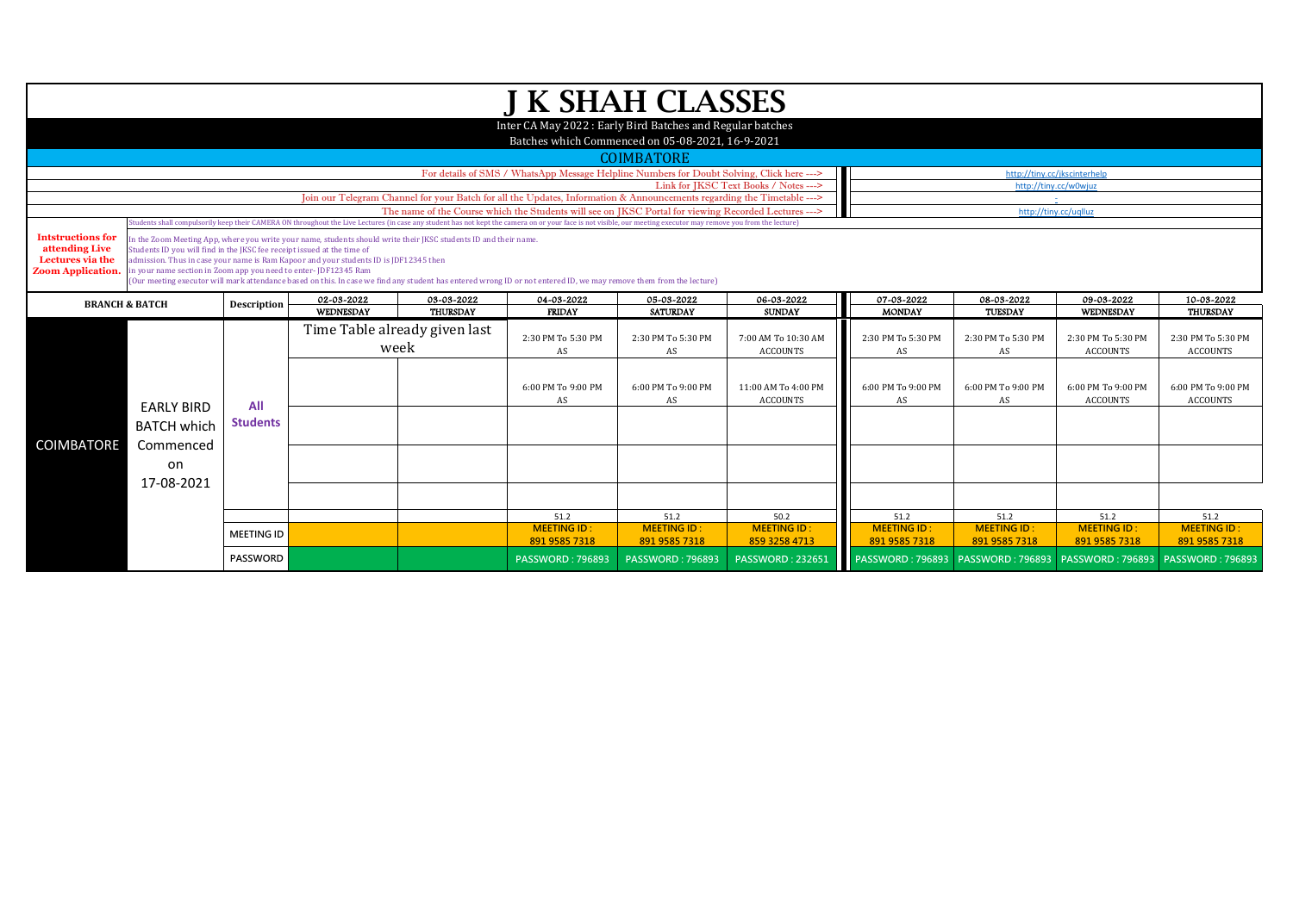|                                                                                                                                                                                                                                                                   | <b>J K SHAH CLASSES</b>                                                                                                                                            |                    |                                                                                       |                                                                                                                  |                                                                                                                                                                                                                                |                         |                                        |                         |                    |                                                        |                                       |  |  |
|-------------------------------------------------------------------------------------------------------------------------------------------------------------------------------------------------------------------------------------------------------------------|--------------------------------------------------------------------------------------------------------------------------------------------------------------------|--------------------|---------------------------------------------------------------------------------------|------------------------------------------------------------------------------------------------------------------|--------------------------------------------------------------------------------------------------------------------------------------------------------------------------------------------------------------------------------|-------------------------|----------------------------------------|-------------------------|--------------------|--------------------------------------------------------|---------------------------------------|--|--|
|                                                                                                                                                                                                                                                                   | Inter CA May 2022: Early Bird Batches and Regular batches                                                                                                          |                    |                                                                                       |                                                                                                                  |                                                                                                                                                                                                                                |                         |                                        |                         |                    |                                                        |                                       |  |  |
|                                                                                                                                                                                                                                                                   |                                                                                                                                                                    |                    |                                                                                       |                                                                                                                  |                                                                                                                                                                                                                                |                         |                                        |                         |                    |                                                        |                                       |  |  |
|                                                                                                                                                                                                                                                                   |                                                                                                                                                                    |                    |                                                                                       |                                                                                                                  | Batches which Commenced on 05-08-2021, 16-9-2021                                                                                                                                                                               |                         |                                        |                         |                    |                                                        |                                       |  |  |
|                                                                                                                                                                                                                                                                   |                                                                                                                                                                    |                    |                                                                                       |                                                                                                                  |                                                                                                                                                                                                                                | <b>COIMBATORE</b>       |                                        |                         |                    |                                                        |                                       |  |  |
|                                                                                                                                                                                                                                                                   | For details of SMS / WhatsApp Message Helpline Numbers for Doubt Solving, Click here ---><br>http://tiny.cc/jkscinterhelp<br>Link for JKSC Text Books / Notes ---> |                    |                                                                                       |                                                                                                                  |                                                                                                                                                                                                                                |                         |                                        |                         |                    |                                                        |                                       |  |  |
|                                                                                                                                                                                                                                                                   |                                                                                                                                                                    |                    |                                                                                       |                                                                                                                  |                                                                                                                                                                                                                                |                         |                                        |                         |                    | http://tiny.cc/w0wjuz                                  |                                       |  |  |
|                                                                                                                                                                                                                                                                   |                                                                                                                                                                    |                    |                                                                                       |                                                                                                                  | Join our Telegram Channel for your Batch for all the Updates, Information & Announcements regarding the Timetable ---><br>The name of the Course which the Students will see on JKSC Portal for viewing Recorded Lectures ---> |                         |                                        |                         |                    | http://tiny.cc/uqlluz                                  |                                       |  |  |
|                                                                                                                                                                                                                                                                   |                                                                                                                                                                    |                    |                                                                                       |                                                                                                                  | Students shall compulsorily keep their CAMERA ON throughout the Live Lectures (in case any student has not kept the camera on or your face is not visible, our meeting executor may remove you from the lecture)               |                         |                                        |                         |                    |                                                        |                                       |  |  |
| <b>Intstructions for</b>                                                                                                                                                                                                                                          |                                                                                                                                                                    |                    |                                                                                       | In the Zoom Meeting App, where you write your name, students should write their JKSC students ID and their name. |                                                                                                                                                                                                                                |                         |                                        |                         |                    |                                                        |                                       |  |  |
| attending Live                                                                                                                                                                                                                                                    | Students ID you will find in the IKSC fee receipt issued at the time of                                                                                            |                    |                                                                                       |                                                                                                                  |                                                                                                                                                                                                                                |                         |                                        |                         |                    |                                                        |                                       |  |  |
| Lectures via the                                                                                                                                                                                                                                                  |                                                                                                                                                                    |                    | admission. Thus in case your name is Ram Kapoor and your students ID is JDF12345 then |                                                                                                                  |                                                                                                                                                                                                                                |                         |                                        |                         |                    |                                                        |                                       |  |  |
| in your name section in Zoom app you need to enter-JDF12345 Ram<br><b>Zoom Application.</b><br>(Our meeting executor will mark attendance based on this. In case we find any student has entered wrong ID or not entered ID, we may remove them from the lecture) |                                                                                                                                                                    |                    |                                                                                       |                                                                                                                  |                                                                                                                                                                                                                                |                         |                                        |                         |                    |                                                        |                                       |  |  |
|                                                                                                                                                                                                                                                                   |                                                                                                                                                                    |                    | 02-03-2022                                                                            | 03-03-2022                                                                                                       | 04-03-2022                                                                                                                                                                                                                     | 05-03-2022              | 06-03-2022                             | 07-03-2022              | 08-03-2022         | 09-03-2022                                             | 10-03-2022                            |  |  |
|                                                                                                                                                                                                                                                                   | <b>BRANCH &amp; BATCH</b>                                                                                                                                          | <b>Description</b> | WEDNESDAY                                                                             | <b>THURSDAY</b>                                                                                                  | <b>FRIDAY</b>                                                                                                                                                                                                                  | <b>SATURDAY</b>         | <b>SUNDAY</b>                          | <b>MONDAY</b>           | <b>TUESDAY</b>     | WEDNESDAY                                              | <b>THURSDAY</b>                       |  |  |
|                                                                                                                                                                                                                                                                   |                                                                                                                                                                    |                    | Time Table already given last<br>week                                                 |                                                                                                                  |                                                                                                                                                                                                                                | 2:30 PM To 5:30 PM      |                                        |                         |                    |                                                        |                                       |  |  |
|                                                                                                                                                                                                                                                                   |                                                                                                                                                                    |                    |                                                                                       |                                                                                                                  | 2:30 PM To 5:30 PM                                                                                                                                                                                                             |                         | 7:00 AM To 10:30 AM<br><b>ACCOUNTS</b> | 2:30 PM To 5:30 PM      | 2:30 PM To 5:30 PM | 2:30 PM To 5:30 PM<br><b>ACCOUNTS</b>                  | 2:30 PM To 5:30 PM<br><b>ACCOUNTS</b> |  |  |
|                                                                                                                                                                                                                                                                   |                                                                                                                                                                    |                    |                                                                                       |                                                                                                                  | AS                                                                                                                                                                                                                             | AS                      |                                        | AS                      | AS                 |                                                        |                                       |  |  |
|                                                                                                                                                                                                                                                                   |                                                                                                                                                                    |                    |                                                                                       |                                                                                                                  |                                                                                                                                                                                                                                |                         |                                        |                         |                    |                                                        |                                       |  |  |
|                                                                                                                                                                                                                                                                   |                                                                                                                                                                    |                    |                                                                                       |                                                                                                                  | 6:00 PM To 9:00 PM                                                                                                                                                                                                             | 6:00 PM To 9:00 PM      | 11:00 AM To 4:00 PM                    | 6:00 PM To 9:00 PM      | 6:00 PM To 9:00 PM | 6:00 PM To 9:00 PM                                     | 6:00 PM To 9:00 PM                    |  |  |
|                                                                                                                                                                                                                                                                   | <b>EARLY BIRD</b>                                                                                                                                                  | All                |                                                                                       |                                                                                                                  | AS                                                                                                                                                                                                                             | AS                      | <b>ACCOUNTS</b>                        | AS                      | AS                 | <b>ACCOUNTS</b>                                        | <b>ACCOUNTS</b>                       |  |  |
|                                                                                                                                                                                                                                                                   |                                                                                                                                                                    | <b>Students</b>    |                                                                                       |                                                                                                                  |                                                                                                                                                                                                                                |                         |                                        |                         |                    |                                                        |                                       |  |  |
|                                                                                                                                                                                                                                                                   | <b>BATCH which</b>                                                                                                                                                 |                    |                                                                                       |                                                                                                                  |                                                                                                                                                                                                                                |                         |                                        |                         |                    |                                                        |                                       |  |  |
| <b>COIMBATORE</b>                                                                                                                                                                                                                                                 | Commenced                                                                                                                                                          |                    |                                                                                       |                                                                                                                  |                                                                                                                                                                                                                                |                         |                                        |                         |                    |                                                        |                                       |  |  |
|                                                                                                                                                                                                                                                                   | on                                                                                                                                                                 |                    |                                                                                       |                                                                                                                  |                                                                                                                                                                                                                                |                         |                                        |                         |                    |                                                        |                                       |  |  |
|                                                                                                                                                                                                                                                                   | 17-08-2021                                                                                                                                                         |                    |                                                                                       |                                                                                                                  |                                                                                                                                                                                                                                |                         |                                        |                         |                    |                                                        |                                       |  |  |
|                                                                                                                                                                                                                                                                   |                                                                                                                                                                    |                    |                                                                                       |                                                                                                                  |                                                                                                                                                                                                                                |                         |                                        |                         |                    |                                                        |                                       |  |  |
|                                                                                                                                                                                                                                                                   |                                                                                                                                                                    |                    |                                                                                       |                                                                                                                  | 51.2                                                                                                                                                                                                                           | 51.2                    | 50.2                                   | 51.2                    | 51.2               | 51.2                                                   | 51.2                                  |  |  |
|                                                                                                                                                                                                                                                                   |                                                                                                                                                                    |                    |                                                                                       |                                                                                                                  | <b>MEETING ID:</b>                                                                                                                                                                                                             | <b>MEETING ID:</b>      | <b>MEETING ID:</b>                     | <b>MEETING ID:</b>      | <b>MEETING ID:</b> | <b>MEETING ID:</b>                                     | <b>MEETING ID:</b>                    |  |  |
|                                                                                                                                                                                                                                                                   |                                                                                                                                                                    | <b>MEETING ID</b>  |                                                                                       |                                                                                                                  | 891 9585 7318                                                                                                                                                                                                                  | 891 9585 7318           | 859 3258 4713                          | 891 9585 7318           | 891 9585 7318      | 891 9585 7318                                          | 891 9585 7318                         |  |  |
|                                                                                                                                                                                                                                                                   |                                                                                                                                                                    | PASSWORD           |                                                                                       |                                                                                                                  | <b>PASSWORD: 796893</b>                                                                                                                                                                                                        | <b>PASSWORD: 796893</b> | <b>PASSWORD: 232651</b>                | <b>PASSWORD: 796893</b> |                    | PASSWORD: 796893   PASSWORD: 796893   PASSWORD: 796893 |                                       |  |  |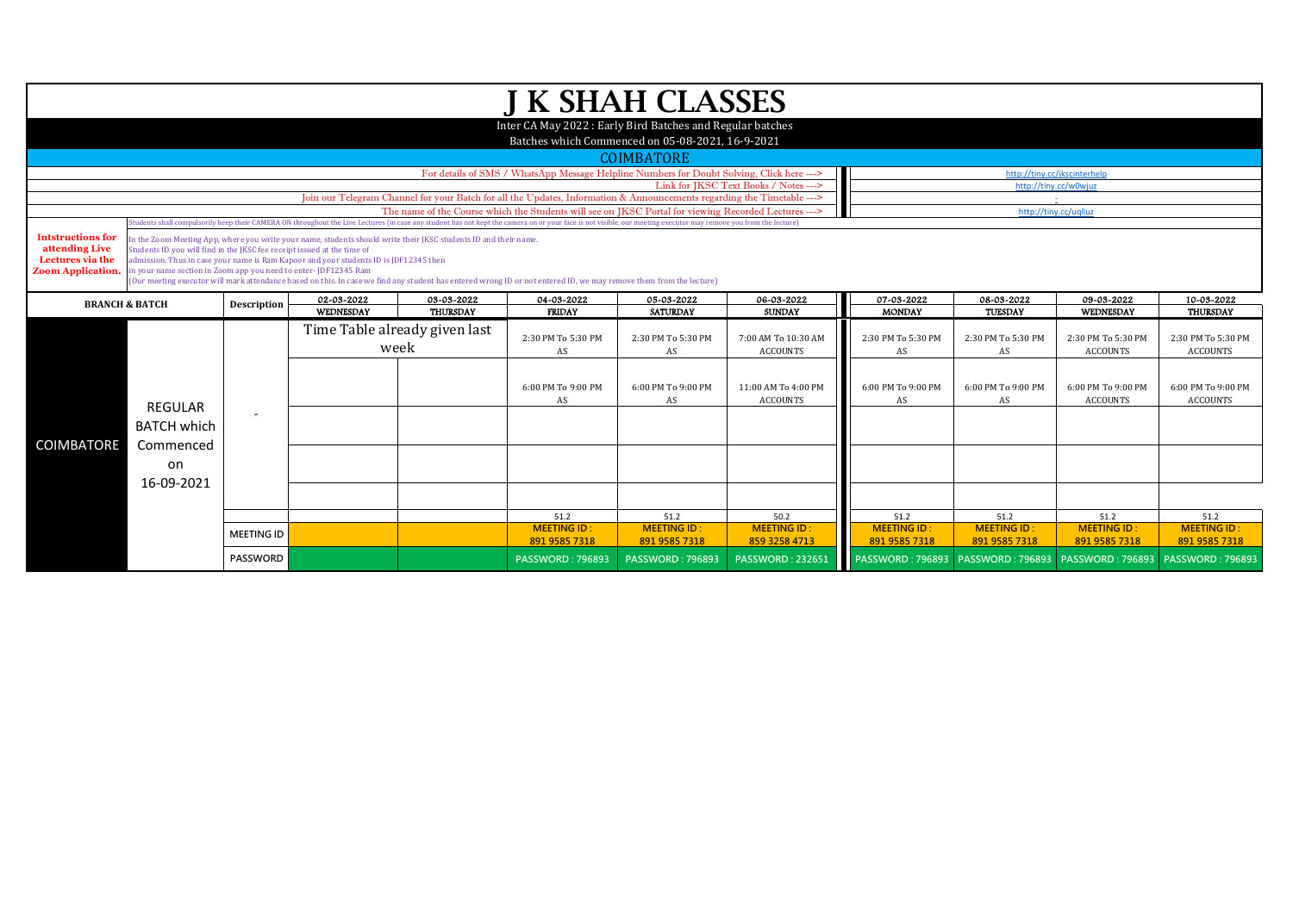|                           | <b>J K SHAH CLASSES</b>                                                                                                                                                                                                                                                                                                                           |                    |                                                                                                                  |                               |                                                                                                                                                                    |                         |                         |                         |                         |                                     |                    |  |  |
|---------------------------|---------------------------------------------------------------------------------------------------------------------------------------------------------------------------------------------------------------------------------------------------------------------------------------------------------------------------------------------------|--------------------|------------------------------------------------------------------------------------------------------------------|-------------------------------|--------------------------------------------------------------------------------------------------------------------------------------------------------------------|-------------------------|-------------------------|-------------------------|-------------------------|-------------------------------------|--------------------|--|--|
|                           |                                                                                                                                                                                                                                                                                                                                                   |                    |                                                                                                                  |                               |                                                                                                                                                                    |                         |                         |                         |                         |                                     |                    |  |  |
|                           |                                                                                                                                                                                                                                                                                                                                                   |                    |                                                                                                                  |                               | Inter CA May 2022 : Early Bird Batches and Regular batches<br>Batches which Commenced on 05-08-2021, 16-9-2021                                                     |                         |                         |                         |                         |                                     |                    |  |  |
|                           |                                                                                                                                                                                                                                                                                                                                                   |                    |                                                                                                                  |                               |                                                                                                                                                                    | <b>COIMBATORE</b>       |                         |                         |                         |                                     |                    |  |  |
|                           | For details of SMS / WhatsApp Message Helpline Numbers for Doubt Solving, Click here ---><br>http://tiny.cc/jkscinterhelp                                                                                                                                                                                                                         |                    |                                                                                                                  |                               |                                                                                                                                                                    |                         |                         |                         |                         |                                     |                    |  |  |
|                           | Link for IKSC Text Books / Notes ---><br>http://tiny.cc/w0wjuz<br>Join our Telegram Channel for your Batch for all the Updates, Information & Announcements regarding the Timetable --->                                                                                                                                                          |                    |                                                                                                                  |                               |                                                                                                                                                                    |                         |                         |                         |                         |                                     |                    |  |  |
|                           |                                                                                                                                                                                                                                                                                                                                                   |                    |                                                                                                                  |                               |                                                                                                                                                                    |                         |                         |                         |                         | $\sim$ $-$                          |                    |  |  |
|                           | The name of the Course which the Students will see on JKSC Portal for viewing Recorded Lectures ---><br>http://tiny.cc/uqlluz<br>Students shall compulsorily keep their CAMERA ON throughout the Live Lectures (in case any student has not kept the camera on or your face is not visible, our meeting executor may remove you from the lecture) |                    |                                                                                                                  |                               |                                                                                                                                                                    |                         |                         |                         |                         |                                     |                    |  |  |
| <b>Intstructions for</b>  |                                                                                                                                                                                                                                                                                                                                                   |                    |                                                                                                                  |                               |                                                                                                                                                                    |                         |                         |                         |                         |                                     |                    |  |  |
| attending Live            | Students ID you will find in the JKSC fee receipt issued at the time of                                                                                                                                                                                                                                                                           |                    | In the Zoom Meeting App, where you write your name, students should write their JKSC students ID and their name. |                               |                                                                                                                                                                    |                         |                         |                         |                         |                                     |                    |  |  |
| Lectures via the          |                                                                                                                                                                                                                                                                                                                                                   |                    | admission. Thus in case your name is Ram Kapoor and your students ID is JDF12345 then                            |                               |                                                                                                                                                                    |                         |                         |                         |                         |                                     |                    |  |  |
| <b>Zoom Application.</b>  | in your name section in Zoom app you need to enter-JDF12345 Ram                                                                                                                                                                                                                                                                                   |                    |                                                                                                                  |                               | (Our meeting executor will mark attendance based on this. In case we find any student has entered wrong ID or not entered ID, we may remove them from the lecture) |                         |                         |                         |                         |                                     |                    |  |  |
|                           |                                                                                                                                                                                                                                                                                                                                                   |                    | 02-03-2022                                                                                                       | 03-03-2022                    | 04-03-2022                                                                                                                                                         | 05-03-2022              | 06-03-2022              | 07-03-2022              | 08-03-2022              | 09-03-2022                          | 10-03-2022         |  |  |
| <b>BRANCH &amp; BATCH</b> |                                                                                                                                                                                                                                                                                                                                                   | <b>Description</b> | <b>WEDNESDAY</b>                                                                                                 | <b>THURSDAY</b>               | <b>FRIDAY</b>                                                                                                                                                      | <b>SATURDAY</b>         | <b>SUNDAY</b>           | <b>MONDAY</b>           | <b>TUESDAY</b>          | WEDNESDAY                           | <b>THURSDAY</b>    |  |  |
|                           |                                                                                                                                                                                                                                                                                                                                                   |                    |                                                                                                                  | Time Table already given last |                                                                                                                                                                    |                         |                         |                         |                         |                                     |                    |  |  |
|                           |                                                                                                                                                                                                                                                                                                                                                   |                    | week                                                                                                             |                               | 2:30 PM To 5:30 PM                                                                                                                                                 | 2:30 PM To 5:30 PM      | 7:00 AM To 10:30 AM     | 2:30 PM To 5:30 PM      | 2:30 PM To 5:30 PM      | 2:30 PM To 5:30 PM                  | 2:30 PM To 5:30 PM |  |  |
|                           |                                                                                                                                                                                                                                                                                                                                                   |                    |                                                                                                                  |                               | AS                                                                                                                                                                 | AS                      | <b>ACCOUNTS</b>         | AS                      | AS                      | <b>ACCOUNTS</b>                     | <b>ACCOUNTS</b>    |  |  |
|                           |                                                                                                                                                                                                                                                                                                                                                   |                    |                                                                                                                  |                               |                                                                                                                                                                    |                         |                         |                         |                         |                                     |                    |  |  |
|                           |                                                                                                                                                                                                                                                                                                                                                   |                    |                                                                                                                  |                               | 6:00 PM To 9:00 PM                                                                                                                                                 | 6:00 PM To 9:00 PM      | 11:00 AM To 4:00 PM     | 6:00 PM To 9:00 PM      | 6:00 PM To 9:00 PM      | 6:00 PM To 9:00 PM                  | 6:00 PM To 9:00 PM |  |  |
|                           | <b>REGULAR</b>                                                                                                                                                                                                                                                                                                                                    |                    |                                                                                                                  |                               | AS                                                                                                                                                                 | AS                      | <b>ACCOUNTS</b>         | AS                      | AS                      | ACCOUNTS                            | <b>ACCOUNTS</b>    |  |  |
|                           | <b>BATCH which</b>                                                                                                                                                                                                                                                                                                                                |                    |                                                                                                                  |                               |                                                                                                                                                                    |                         |                         |                         |                         |                                     |                    |  |  |
|                           |                                                                                                                                                                                                                                                                                                                                                   |                    |                                                                                                                  |                               |                                                                                                                                                                    |                         |                         |                         |                         |                                     |                    |  |  |
| COIMBATORE                | Commenced                                                                                                                                                                                                                                                                                                                                         |                    |                                                                                                                  |                               |                                                                                                                                                                    |                         |                         |                         |                         |                                     |                    |  |  |
|                           | on                                                                                                                                                                                                                                                                                                                                                |                    |                                                                                                                  |                               |                                                                                                                                                                    |                         |                         |                         |                         |                                     |                    |  |  |
|                           | 16-09-2021                                                                                                                                                                                                                                                                                                                                        |                    |                                                                                                                  |                               |                                                                                                                                                                    |                         |                         |                         |                         |                                     |                    |  |  |
|                           |                                                                                                                                                                                                                                                                                                                                                   |                    |                                                                                                                  |                               |                                                                                                                                                                    |                         |                         |                         |                         |                                     |                    |  |  |
|                           |                                                                                                                                                                                                                                                                                                                                                   |                    |                                                                                                                  |                               | 51.2                                                                                                                                                               | 51.2                    | 50.2                    | 51.2                    | 51.2                    | 51.2                                | 51.2               |  |  |
|                           |                                                                                                                                                                                                                                                                                                                                                   | <b>MEETING ID</b>  |                                                                                                                  |                               | <b>MEETING ID:</b>                                                                                                                                                 | <b>MEETING ID:</b>      | <b>MEETING ID:</b>      | <b>MEETING ID:</b>      | <b>MEETING ID:</b>      | <b>MEETING ID:</b>                  | <b>MEETING ID:</b> |  |  |
|                           |                                                                                                                                                                                                                                                                                                                                                   |                    |                                                                                                                  |                               | 891 9585 7318                                                                                                                                                      | 891 9585 7318           | 859 3258 4713           | 891 9585 7318           | 891 9585 7318           | 891 9585 7318                       | 891 9585 7318      |  |  |
|                           |                                                                                                                                                                                                                                                                                                                                                   | PASSWORD           |                                                                                                                  |                               | <b>PASSWORD: 796893</b>                                                                                                                                            | <b>PASSWORD: 796893</b> | <b>PASSWORD: 232651</b> | <b>PASSWORD: 796893</b> | <b>PASSWORD: 796893</b> | PASSWORD: 796893   PASSWORD: 796893 |                    |  |  |